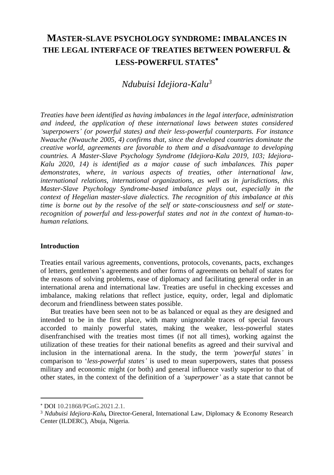# **MASTER-SLAVE PSYCHOLOGY SYNDROME: IMBALANCES IN THE LEGAL INTERFACE OF TREATIES BETWEEN POWERFUL & LESS-POWERFUL STATES**

## *Ndubuisi Idejiora-Kalu<sup>3</sup>*

*Treaties have been identified as having imbalances in the legal interface, administration and indeed, the application of these international laws between states considered 'superpowers' (or powerful states) and their less-powerful counterparts. For instance Nwauche (Nwauche 2005, 4) confirms that, since the developed countries dominate the creative world, agreements are favorable to them and a disadvantage to developing countries. A Master-Slave Psychology Syndrome (Idejiora-Kalu 2019, 103; Idejiora-Kalu 2020, 14) is identified as a major cause of such imbalances. This paper demonstrates, where, in various aspects of treaties, other international law, international relations, international organizations, as well as in jurisdictions, this Master-Slave Psychology Syndrome-based imbalance plays out, especially in the context of Hegelian master-slave dialectics. The recognition of this imbalance at this time is borne out by the resolve of the self or state-consciousness and self or staterecognition of powerful and less-powerful states and not in the context of human-tohuman relations.*

#### **Introduction**

Treaties entail various agreements, conventions, protocols, covenants, pacts, exchanges of letters, gentlemen's agreements and other forms of agreements on behalf of states for the reasons of solving problems, ease of diplomacy and facilitating general order in an international arena and international law. Treaties are useful in checking excesses and imbalance, making relations that reflect justice, equity, order, legal and diplomatic decorum and friendliness between states possible.

But treaties have been seen not to be as balanced or equal as they are designed and intended to be in the first place, with many unignorable traces of special favours accorded to mainly powerful states, making the weaker, less-powerful states disenfranchised with the treaties most times (if not all times), working against the utilization of these treaties for their national benefits as agreed and their survival and inclusion in the international arena. In the study, the term *'powerful states'* in comparison to '*less-powerful states'* is used to mean superpowers, states that possess military and economic might (or both) and general influence vastly superior to that of other states, in the context of the definition of a *'superpower'* as a state that cannot be

DOI 10.21868/PGnG.2021.2.1.

<sup>3</sup> *Ndubuisi Idejiora-Kalu,* Director-General, International Law, Diplomacy & Economy Research Center (ILDERC), Abuja, Nigeria.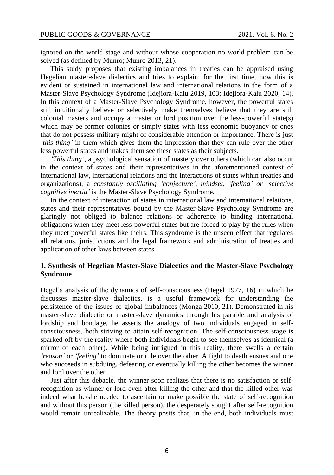ignored on the world stage and without whose cooperation no world problem can be solved (as defined by Munro; Munro 2013, 21).

This study proposes that existing imbalances in treaties can be appraised using Hegelian master-slave dialectics and tries to explain, for the first time, how this is evident or sustained in international law and international relations in the form of a Master-Slave Psychology Syndrome (Idejiora-Kalu 2019, 103; Idejiora-Kalu 2020, 14). In this context of a Master-Slave Psychology Syndrome, however, the powerful states still intuitionally believe or selectively make themselves believe that they are still colonial masters and occupy a master or lord position over the less-powerful state(s) which may be former colonies or simply states with less economic buoyancy or ones that do not possess military might of considerable attention or importance. There is just *'this thing'* in them which gives them the impression that they can rule over the other less powerful states and makes them see these states as their subjects.

*'This thing',* a psychological sensation of mastery over others (which can also occur in the context of states and their representatives in the aforementioned context of international law, international relations and the interactions of states within treaties and organizations), a *constantly oscillating 'conjecture', mindset, 'feeling' or 'selective cognitive inertia'* is the Master-Slave Psychology Syndrome.

In the context of interaction of states in international law and international relations, states and their representatives bound by the Master-Slave Psychology Syndrome are glaringly not obliged to balance relations or adherence to binding international obligations when they meet less-powerful states but are forced to play by the rules when they meet powerful states like theirs. This syndrome is the unseen effect that regulates all relations, jurisdictions and the legal framework and administration of treaties and application of other laws between states.

## **1. Synthesis of Hegelian Master-Slave Dialectics and the Master-Slave Psychology Syndrome**

Hegel's analysis of the dynamics of self-consciousness (Hegel 1977, 16) in which he discusses master-slave dialectics, is a useful framework for understanding the persistence of the issues of global imbalances (Monga 2010, 21). Demonstrated in his master-slave dialectic or master-slave dynamics through his parable and analysis of lordship and bondage, he asserts the analogy of two individuals engaged in selfconsciousness, both striving to attain self-recognition. The self-consciousness stage is sparked off by the reality where both individuals begin to see themselves as identical (a mirror of each other). While being intrigued in this reality, there swells a certain *'reason'* or *'feeling'* to dominate or rule over the other. A fight to death ensues and one who succeeds in subduing, defeating or eventually killing the other becomes the winner and lord over the other.

Just after this debacle, the winner soon realizes that there is no satisfaction or selfrecognition as winner or lord even after killing the other and that the killed other was indeed what he/she needed to ascertain or make possible the state of self-recognition and without this person (the killed person), the desperately sought after self-recognition would remain unrealizable. The theory posits that, in the end, both individuals must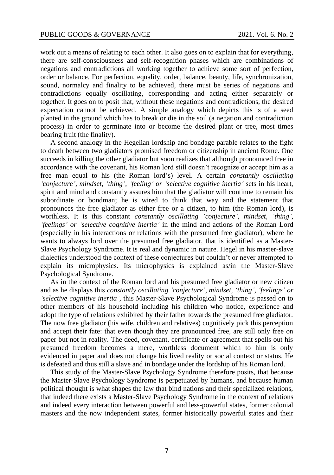work out a means of relating to each other. It also goes on to explain that for everything, there are self-consciousness and self-recognition phases which are combinations of negations and contradictions all working together to achieve some sort of perfection, order or balance. For perfection, equality, order, balance, beauty, life, synchronization, sound, normalcy and finality to be achieved, there must be series of negations and contradictions equally oscillating, corresponding and acting either separately or together. It goes on to posit that, without these negations and contradictions, the desired expectation cannot be achieved. A simple analogy which depicts this is of a seed planted in the ground which has to break or die in the soil (a negation and contradiction process) in order to germinate into or become the desired plant or tree, most times bearing fruit (the finality).

A second analogy in the Hegelian lordship and bondage parable relates to the fight to death between two gladiators promised freedom or citizenship in ancient Rome. One succeeds in killing the other gladiator but soon realizes that although pronounced free in accordance with the covenant, his Roman lord still doesn't recognize or accept him as a free man equal to his (the Roman lord's) level. A certain *constantly oscillating 'conjecture', mindset, 'thing', 'feeling' or 'selective cognitive inertia'* sets in his heart, spirit and mind and constantly assures him that the gladiator will continue to remain his subordinate or bondman; he is wired to think that way and the statement that pronounces the free gladiator as either free or a citizen, to him (the Roman lord), is worthless. It is this constant *constantly oscillating 'conjecture', mindset, 'thing'*, *'feelings' or 'selective cognitive inertia'* in the mind and actions of the Roman Lord (especially in his interactions or relations with the presumed free gladiator), where he wants to always lord over the presumed free gladiator, that is identified as a Master-Slave Psychology Syndrome. It is real and dynamic in nature. Hegel in his master-slave dialectics understood the context of these conjectures but couldn't or never attempted to explain its microphysics. Its microphysics is explained as/in the Master-Slave Psychological Syndrome.

As in the context of the Roman lord and his presumed free gladiator or new citizen and as he displays this *constantly oscillating 'conjecture', mindset, 'thing', 'feelings' or 'selective cognitive inertia'*, this Master-Slave Psychological Syndrome is passed on to other members of his household including his children who notice, experience and adopt the type of relations exhibited by their father towards the presumed free gladiator. The now free gladiator (his wife, children and relatives) cognitively pick this perception and accept their fate: that even though they are pronounced free, are still only free on paper but not in reality. The deed, covenant, certificate or agreement that spells out his presumed freedom becomes a mere, worthless document which to him is only evidenced in paper and does not change his lived reality or social context or status. He is defeated and thus still a slave and in bondage under the lordship of his Roman lord.

This study of the Master-Slave Psychology Syndrome therefore posits, that because the Master-Slave Psychology Syndrome is perpetuated by humans, and because human political thought is what shapes the law that bind nations and their specialized relations, that indeed there exists a Master-Slave Psychology Syndrome in the context of relations and indeed every interaction between powerful and less-powerful states, former colonial masters and the now independent states, former historically powerful states and their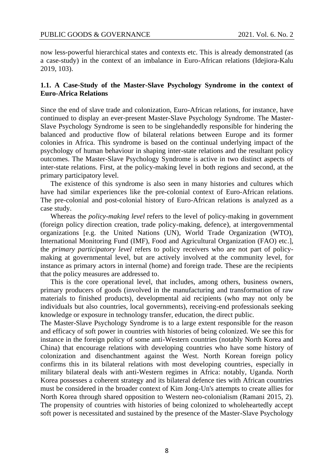now less-powerful hierarchical states and contexts etc. This is already demonstrated (as a case-study) in the context of an imbalance in Euro-African relations (Idejiora-Kalu 2019, 103).

## **1.1. A Case-Study of the Master-Slave Psychology Syndrome in the context of Euro-Africa Relations**

Since the end of slave trade and colonization, Euro-African relations, for instance, have continued to display an ever-present Master-Slave Psychology Syndrome. The Master-Slave Psychology Syndrome is seen to be singlehandedly responsible for hindering the balanced and productive flow of bilateral relations between Europe and its former colonies in Africa. This syndrome is based on the continual underlying impact of the psychology of human behaviour in shaping inter-state relations and the resultant policy outcomes. The Master-Slave Psychology Syndrome is active in two distinct aspects of inter-state relations. First, at the policy-making level in both regions and second, at the primary participatory level.

The existence of this syndrome is also seen in many histories and cultures which have had similar experiences like the pre-colonial context of Euro-African relations. The pre-colonial and post-colonial history of Euro-African relations is analyzed as a case study.

Whereas the *policy-making level* refers to the level of policy-making in government (foreign policy direction creation, trade policy-making, defence), at intergovernmental organizations [e.g. the United Nations (UN), World Trade Organization (WTO), International Monitoring Fund (IMF), Food and Agricultural Organization (FAO) etc.], the *primary participatory level* refers to policy receivers who are not part of policymaking at governmental level, but are actively involved at the community level, for instance as primary actors in internal (home) and foreign trade. These are the recipients that the policy measures are addressed to.

This is the core operational level, that includes, among others, business owners, primary producers of goods (involved in the manufacturing and transformation of raw materials to finished products), developmental aid recipients (who may not only be individuals but also countries, local governments), receiving-end professionals seeking knowledge or exposure in technology transfer, education, the direct public.

The Master-Slave Psychology Syndrome is to a large extent responsible for the reason and efficacy of soft power in countries with histories of being colonized. We see this for instance in the foreign policy of some anti-Western countries (notably North Korea and China) that encourage relations with developing countries who have some history of colonization and disenchantment against the West. North Korean foreign policy confirms this in its bilateral relations with most developing countries, especially in military bilateral deals with anti-Western regimes in Africa: notably, Uganda. North Korea possesses a coherent strategy and its bilateral defence ties with African countries must be considered in the broader context of Kim Jong-Un's attempts to create allies for North Korea through shared opposition to Western neo-colonialism (Ramani 2015, 2). The propensity of countries with histories of being colonized to wholeheartedly accept soft power is necessitated and sustained by the presence of the Master-Slave Psychology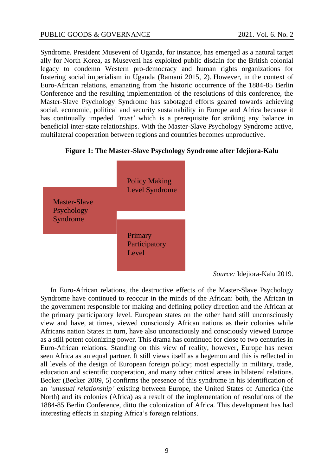Syndrome. President Museveni of Uganda, for instance, has emerged as a natural target ally for North Korea, as Museveni has exploited public disdain for the British colonial legacy to condemn Western pro-democracy and human rights organizations for fostering social imperialism in Uganda (Ramani 2015, 2). However, in the context of Euro-African relations, emanating from the historic occurrence of the 1884-85 Berlin Conference and the resulting implementation of the resolutions of this conference, the Master-Slave Psychology Syndrome has sabotaged efforts geared towards achieving social, economic, political and security sustainability in Europe and Africa because it has continually impeded *'trust'* which is a prerequisite for striking any balance in beneficial inter-state relationships. With the Master-Slave Psychology Syndrome active, multilateral cooperation between regions and countries becomes unproductive.

**Figure 1: The Master-Slave Psychology Syndrome after Idejiora-Kalu**



*Source:* Idejiora-Kalu 2019.

In Euro-African relations, the destructive effects of the Master-Slave Psychology Syndrome have continued to reoccur in the minds of the African: both, the African in the government responsible for making and defining policy direction and the African at the primary participatory level. European states on the other hand still unconsciously view and have, at times, viewed consciously African nations as their colonies while Africans nation States in turn, have also unconsciously and consciously viewed Europe as a still potent colonizing power. This drama has continued for close to two centuries in Euro-African relations. Standing on this view of reality, however, Europe has never seen Africa as an equal partner. It still views itself as a hegemon and this is reflected in all levels of the design of European foreign policy; most especially in military, trade, education and scientific cooperation, and many other critical areas in bilateral relations. Becker (Becker 2009, 5) confirms the presence of this syndrome in his identification of an *'unusual relationship'* existing between Europe, the United States of America (the North) and its colonies (Africa) as a result of the implementation of resolutions of the 1884-85 Berlin Conference, ditto the colonization of Africa. This development has had interesting effects in shaping Africa's foreign relations.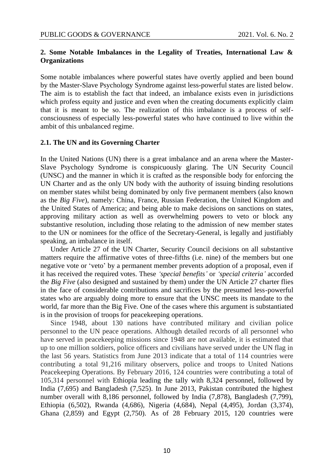## **2. Some Notable Imbalances in the Legality of Treaties, International Law & Organizations**

Some notable imbalances where powerful states have overtly applied and been bound by the Master-Slave Psychology Syndrome against less-powerful states are listed below. The aim is to establish the fact that indeed, an imbalance exists even in jurisdictions which profess equity and justice and even when the creating documents explicitly claim that it is meant to be so. The realization of this imbalance is a process of selfconsciousness of especially less-powerful states who have continued to live within the ambit of this unbalanced regime.

#### **2.1. The UN and its Governing Charter**

In the United Nations (UN) there is a great imbalance and an arena where the Master-Slave Psychology Syndrome is conspicuously glaring. The UN Security Council (UNSC) and the manner in which it is crafted as the responsible body for enforcing the UN Charter and as the only UN body with the authority of issuing binding resolutions on member states whilst being dominated by only five permanent members (also known as the *Big Five*), namely: China, France, Russian Federation, the United Kingdom and the United States of America; and being able to make decisions on sanctions on states, approving military action as well as overwhelming powers to veto or block any substantive resolution, including those relating to the admission of new member states to the UN or nominees for the office of the Secretary-General, is legally and justifiably speaking, an imbalance in itself.

Under Article 27 of the UN Charter, Security Council decisions on all substantive matters require the affirmative votes of three-fifths (i.e. nine) of the members but one negative vote or 'veto' by a permanent member prevents adoption of a proposal, even if it has received the required votes. These *'special benefits'* or *'special criteria'* accorded the *Big Five* (also designed and sustained by them) under the UN Article 27 charter flies in the face of considerable contributions and sacrifices by the presumed less-powerful states who are arguably doing more to ensure that the UNSC meets its mandate to the world, far more than the Big Five. One of the cases where this argument is substantiated is in the provision of troops for peacekeeping operations.

Since 1948, about 130 nations have contributed military and civilian police personnel to the UN peace operations. Although detailed records of all personnel who have served in peacekeeping missions since 1948 are not available, it is estimated that up to one million soldiers, police officers and civilians have served under the UN flag in the last 56 years. Statistics from June 2013 indicate that a total of 114 countries were contributing a total 91,216 military observers, police and troops to United Nations Peacekeeping Operations. By February 2016, 124 countries were contributing a total of 105,314 personnel with Ethiopia leading the tally with 8,324 personnel, followed by India (7,695) and Bangladesh (7,525). In June 2013, Pakistan contributed the highest number overall with 8,186 personnel, followed by India (7,878), Bangladesh (7,799), Ethiopia (6,502), Rwanda (4,686), Nigeria (4,684), Nepal (4,495), Jordan (3,374), Ghana (2,859) and Egypt (2,750). As of 28 February 2015, 120 countries were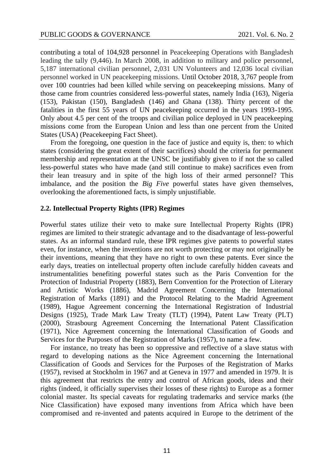contributing a total of 104,928 personnel in Peacekeeping Operations with Bangladesh leading the tally (9,446). In March 2008, in addition to military and police personnel, 5,187 international civilian personnel, 2,031 UN Volunteers and 12,036 local civilian personnel worked in UN peacekeeping missions. Until October 2018, 3,767 people from over 100 countries had been killed while serving on peacekeeping missions. Many of those came from countries considered less-powerful states, namely India (163), Nigeria (153), Pakistan (150), Bangladesh (146) and Ghana (138). Thirty percent of the fatalities in the first 55 years of UN peacekeeping occurred in the years 1993-1995. Only about 4.5 per cent of the troops and civilian police deployed in UN peacekeeping missions come from the European Union and less than one percent from the United States (USA) (Peacekeeping Fact Sheet).

From the foregoing, one question in the face of justice and equity is, then: to which states (considering the great extent of their sacrifices) should the criteria for permanent membership and representation at the UNSC be justifiably given to if not the so called less-powerful states who have made (and still continue to make) sacrifices even from their lean treasury and in spite of the high loss of their armed personnel? This imbalance, and the position the *Big Five* powerful states have given themselves, overlooking the aforementioned facts, is simply unjustifiable.

#### **2.2. Intellectual Property Rights (IPR) Regimes**

Powerful states utilize their veto to make sure Intellectual Property Rights (IPR) regimes are limited to their strategic advantage and to the disadvantage of less-powerful states. As an informal standard rule, these IPR regimes give patents to powerful states even, for instance, when the inventions are not worth protecting or may not originally be their inventions, meaning that they have no right to own these patents. Ever since the early days, treaties on intellectual property often include carefully hidden caveats and instrumentalities benefiting powerful states such as the Paris Convention for the Protection of Industrial Property (1883), Bern Convention for the Protection of Literary and Artistic Works (1886), Madrid Agreement Concerning the International Registration of Marks (1891) and the Protocol Relating to the Madrid Agreement (1989), Hague Agreement concerning the International Registration of Industrial Designs (1925), Trade Mark Law Treaty (TLT) (1994), Patent Law Treaty (PLT) (2000), Strasbourg Agreement Concerning the International Patent Classification (1971), Nice Agreement concerning the International Classification of Goods and Services for the Purposes of the Registration of Marks (1957), to name a few.

For instance, no treaty has been so oppressive and reflective of a slave status with regard to developing nations as the Nice Agreement concerning the International Classification of Goods and Services for the Purposes of the Registration of Marks (1957), revised at Stockholm in 1967 and at Geneva in 1977 and amended in 1979. It is this agreement that restricts the entry and control of African goods, ideas and their rights (indeed, it officially supervises their losses of these rights) to Europe as a former colonial master. Its special caveats for regulating trademarks and service marks (the Nice Classification) have exposed many inventions from Africa which have been compromised and re-invented and patents acquired in Europe to the detriment of the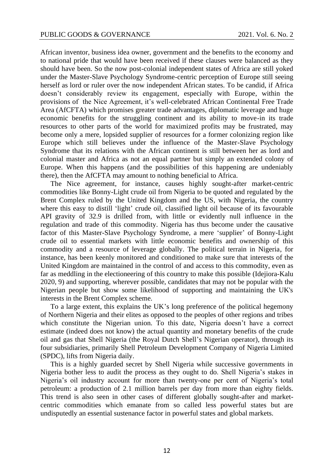African inventor, business idea owner, government and the benefits to the economy and to national pride that would have been received if these clauses were balanced as they should have been. So the now post-colonial independent states of Africa are still yoked under the Master-Slave Psychology Syndrome-centric perception of Europe still seeing herself as lord or ruler over the now independent African states. To be candid, if Africa doesn't considerably review its engagement, especially with Europe, within the provisions of the Nice Agreement, it's well-celebrated African Continental Free Trade Area (AfCFTA) which promises greater trade advantages, diplomatic leverage and huge economic benefits for the struggling continent and its ability to move-in its trade resources to other parts of the world for maximized profits may be frustrated, may become only a mere, lopsided supplier of resources for a former colonizing region like Europe which still believes under the influence of the Master-Slave Psychology Syndrome that its relations with the African continent is still between her as lord and colonial master and Africa as not an equal partner but simply an extended colony of Europe. When this happens (and the possibilities of this happening are undeniably there), then the AfCFTA may amount to nothing beneficial to Africa.

The Nice agreement, for instance, causes highly sought-after market-centric commodities like Bonny-Light crude oil from Nigeria to be quoted and regulated by the Brent Complex ruled by the United Kingdom and the US, with Nigeria, the country where this easy to distill 'light' crude oil, classified light oil because of its favourable API gravity of 32.9 is drilled from, with little or evidently null influence in the regulation and trade of this commodity. Nigeria has thus become under the causative factor of this Master-Slave Psychology Syndrome, a mere 'supplier' of Bonny-Light crude oil to essential markets with little economic benefits and ownership of this commodity and a resource of leverage globally. The political terrain in Nigeria, for instance, has been keenly monitored and conditioned to make sure that interests of the United Kingdom are maintained in the control of and access to this commodity, even as far as meddling in the electioneering of this country to make this possible (Idejiora-Kalu 2020, 9) and supporting, wherever possible, candidates that may not be popular with the Nigerian people but show some likelihood of supporting and maintaining the UK's interests in the Brent Complex scheme.

To a large extent, this explains the UK's long preference of the political hegemony of Northern Nigeria and their elites as opposed to the peoples of other regions and tribes which constitute the Nigerian union. To this date, Nigeria doesn't have a correct estimate (indeed does not know) the actual quantity and monetary benefits of the crude oil and gas that Shell Nigeria (the Royal Dutch Shell's Nigerian operator), through its four subsidiaries, primarily Shell Petroleum Development Company of Nigeria Limited (SPDC), lifts from Nigeria daily.

This is a highly guarded secret by Shell Nigeria while successive governments in Nigeria bother less to audit the process as they ought to do. Shell Nigeria's stakes in Nigeria's oil industry account for more than twenty-one per cent of Nigeria's total petroleum: a production of 2.1 million barrels per day from more than eighty fields. This trend is also seen in other cases of different globally sought-after and marketcentric commodities which emanate from so called less powerful states but are undisputedly an essential sustenance factor in powerful states and global markets.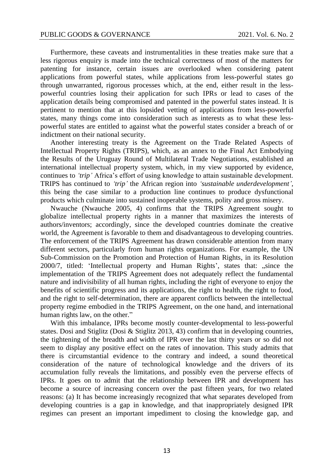Furthermore, these caveats and instrumentalities in these treaties make sure that a less rigorous enquiry is made into the technical correctness of most of the matters for patenting for instance, certain issues are overlooked when considering patent applications from powerful states, while applications from less-powerful states go through unwarranted, rigorous processes which, at the end, either result in the lesspowerful countries losing their application for such IPRs or lead to cases of the application details being compromised and patented in the powerful states instead. It is pertinent to mention that at this lopsided vetting of applications from less-powerful states, many things come into consideration such as interests as to what these lesspowerful states are entitled to against what the powerful states consider a breach of or indictment on their national security.

Another interesting treaty is the Agreement on the Trade Related Aspects of Intellectual Property Rights (TRIPS), which, as an annex to the Final Act Embodying the Results of the Uruguay Round of Multilateral Trade Negotiations, established an international intellectual property system, which, in my view supported by evidence, continues to *'trip'* Africa's effort of using knowledge to attain sustainable development. TRIPS has continued to *'trip'* the African region into *'sustainable underdevelopment',* this being the case similar to a production line continues to produce dysfunctional products which culminate into sustained inoperable systems, polity and gross misery.

Nwauche (Nwauche 2005, 4) confirms that the TRIPS Agreement sought to globalize intellectual property rights in a manner that maximizes the interests of authors/inventors; accordingly, since the developed countries dominate the creative world, the Agreement is favorable to them and disadvantageous to developing countries. The enforcement of the TRIPS Agreement has drawn considerable attention from many different sectors, particularly from human rights organizations. For example, the UN Sub-Commission on the Promotion and Protection of Human Rights, in its Resolution 2000/7, titled: 'Intellectual property and Human Rights', states that: "since the implementation of the TRIPS Agreement does not adequately reflect the fundamental nature and indivisibility of all human rights, including the right of everyone to enjoy the benefits of scientific progress and its applications, the right to health, the right to food, and the right to self-determination, there are apparent conflicts between the intellectual property regime embodied in the TRIPS Agreement, on the one hand, and international human rights law, on the other."

With this imbalance, IPRs become mostly counter-developmental to less-powerful states. Dosi and Stiglitz (Dosi & Stiglitz 2013, 43) confirm that in developing countries, the tightening of the breadth and width of IPR over the last thirty years or so did not seem to display any positive effect on the rates of innovation. This study admits that there is circumstantial evidence to the contrary and indeed, a sound theoretical consideration of the nature of technological knowledge and the drivers of its accumulation fully reveals the limitations, and possibly even the perverse effects of IPRs. It goes on to admit that the relationship between IPR and development has become a source of increasing concern over the past fifteen years, for two related reasons: (a) It has become increasingly recognized that what separates developed from developing countries is a gap in knowledge, and that inappropriately designed IPR regimes can present an important impediment to closing the knowledge gap, and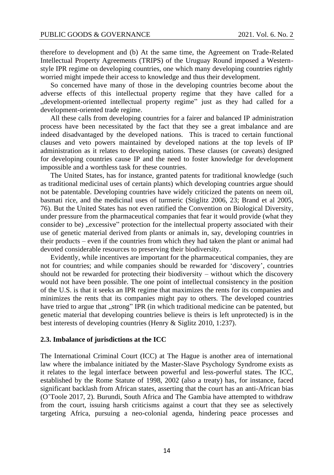therefore to development and (b) At the same time, the Agreement on Trade-Related Intellectual Property Agreements (TRIPS) of the Uruguay Round imposed a Westernstyle IPR regime on developing countries, one which many developing countries rightly worried might impede their access to knowledge and thus their development.

So concerned have many of those in the developing countries become about the adverse effects of this intellectual property regime that they have called for a "development-oriented intellectual property regime" just as they had called for a development-oriented trade regime.

All these calls from developing countries for a fairer and balanced IP administration process have been necessitated by the fact that they see a great imbalance and are indeed disadvantaged by the developed nations. This is traced to certain functional clauses and veto powers maintained by developed nations at the top levels of IP administration as it relates to developing nations. These clauses (or caveats) designed for developing countries cause IP and the need to foster knowledge for development impossible and a worthless task for these countries.

The United States, has for instance, granted patents for traditional knowledge (such as traditional medicinal uses of certain plants) which developing countries argue should not be patentable. Developing countries have widely criticized the patents on neem oil, basmati rice, and the medicinal uses of turmeric (Stiglitz 2006, 23; Brand et al 2005, 76). But the United States has not even ratified the Convention on Biological Diversity, under pressure from the pharmaceutical companies that fear it would provide (what they consider to be) "excessive" protection for the intellectual property associated with their use of genetic material derived from plants or animals in, say, developing countries in their products – even if the countries from which they had taken the plant or animal had devoted considerable resources to preserving their biodiversity.

Evidently, while incentives are important for the pharmaceutical companies, they are not for countries; and while companies should be rewarded for 'discovery', countries should not be rewarded for protecting their biodiversity – without which the discovery would not have been possible. The one point of intellectual consistency in the position of the U.S. is that it seeks an IPR regime that maximizes the rents for its companies and minimizes the rents that its companies might pay to others. The developed countries have tried to argue that "strong" IPR (in which traditional medicine can be patented, but genetic material that developing countries believe is theirs is left unprotected) is in the best interests of developing countries (Henry & Siglitz 2010, 1:237).

#### **2.3. Imbalance of jurisdictions at the ICC**

The International Criminal Court (ICC) at The Hague is another area of international law where the imbalance initiated by the Master-Slave Psychology Syndrome exists as it relates to the legal interface between powerful and less-powerful states. The ICC, established by the Rome Statute of 1998, 2002 (also a treaty) has, for instance, faced significant backlash from African states, asserting that the court has an anti-African bias (O'Toole 2017, 2). Burundi, South Africa and The Gambia have attempted to withdraw from the court, issuing harsh criticisms against a court that they see as selectively targeting Africa, pursuing a neo-colonial agenda, hindering peace processes and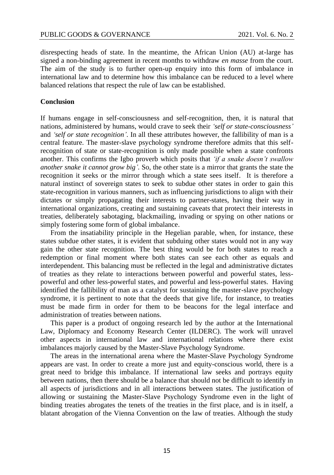disrespecting heads of state. In the meantime, the African Union (AU) at-large has signed a non-binding agreement in recent months to withdraw *en masse* from the court. The aim of the study is to further open-up enquiry into this form of imbalance in international law and to determine how this imbalance can be reduced to a level where balanced relations that respect the rule of law can be established.

#### **Conclusion**

If humans engage in self-consciousness and self-recognition, then, it is natural that nations, administered by humans, would crave to seek their *'self or state-consciousness'* and *'self or state recognition'*. In all these attributes however, the fallibility of man is a central feature. The master-slave psychology syndrome therefore admits that this selfrecognition of state or state-recognition is only made possible when a state confronts another. This confirms the Igbo proverb which posits that *'if a snake doesn't swallow another snake it cannot grow big'.* So, the other state is a mirror that grants the state the recognition it seeks or the mirror through which a state sees itself. It is therefore a natural instinct of sovereign states to seek to subdue other states in order to gain this state-recognition in various manners, such as influencing jurisdictions to align with their dictates or simply propagating their interests to partner-states, having their way in international organizations, creating and sustaining caveats that protect their interests in treaties, deliberately sabotaging, blackmailing, invading or spying on other nations or simply fostering some form of global imbalance.

From the insatiability principle in the Hegelian parable, when, for instance, these states subdue other states, it is evident that subduing other states would not in any way gain the other state recognition. The best thing would be for both states to reach a redemption or final moment where both states can see each other as equals and interdependent. This balancing must be reflected in the legal and administrative dictates of treaties as they relate to interactions between powerful and powerful states, lesspowerful and other less-powerful states, and powerful and less-powerful states. Having identified the fallibility of man as a catalyst for sustaining the master-slave psychology syndrome, it is pertinent to note that the deeds that give life, for instance, to treaties must be made firm in order for them to be beacons for the legal interface and administration of treaties between nations.

This paper is a product of ongoing research led by the author at the International Law, Diplomacy and Economy Research Center (ILDERC). The work will unravel other aspects in international law and international relations where there exist imbalances majorly caused by the Master-Slave Psychology Syndrome.

The areas in the international arena where the Master-Slave Psychology Syndrome appears are vast. In order to create a more just and equity-conscious world, there is a great need to bridge this imbalance. If international law seeks and portrays equity between nations, then there should be a balance that should not be difficult to identify in all aspects of jurisdictions and in all interactions between states. The justification of allowing or sustaining the Master-Slave Psychology Syndrome even in the light of binding treaties abrogates the tenets of the treaties in the first place, and is in itself, a blatant abrogation of the Vienna Convention on the law of treaties. Although the study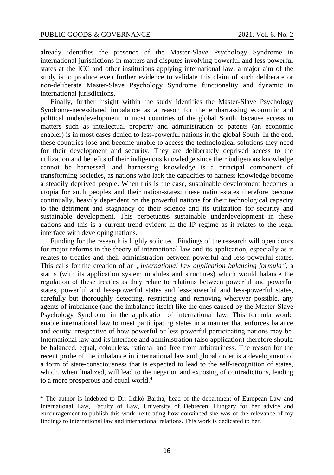already identifies the presence of the Master-Slave Psychology Syndrome in international jurisdictions in matters and disputes involving powerful and less powerful states at the ICC and other institutions applying international law, a major aim of the study is to produce even further evidence to validate this claim of such deliberate or non-deliberate Master-Slave Psychology Syndrome functionality and dynamic in international jurisdictions.

Finally, further insight within the study identifies the Master-Slave Psychology Syndrome-necessitated imbalance as a reason for the embarrassing economic and political underdevelopment in most countries of the global South, because access to matters such as intellectual property and administration of patents (an economic enabler) is in most cases denied to less-powerful nations in the global South. In the end, these countries lose and become unable to access the technological solutions they need for their development and security. They are deliberately deprived access to the utilization and benefits of their indigenous knowledge since their indigenous knowledge cannot be harnessed, and harnessing knowledge is a principal component of transforming societies, as nations who lack the capacities to harness knowledge become a steadily deprived people. When this is the case, sustainable development becomes a utopia for such peoples and their nation-states; these nation-states therefore become continually, heavily dependent on the powerful nations for their technological capacity to the detriment and stagnancy of their science and its utilization for security and sustainable development. This perpetuates sustainable underdevelopment in these nations and this is a current trend evident in the IP regime as it relates to the legal interface with developing nations.

Funding for the research is highly solicited. Findings of the research will open doors for major reforms in the theory of international law and its application, especially as it relates to treaties and their administration between powerful and less-powerful states. This calls for the creation of an *"international law application balancing formula*", a status (with its application system modules and structures) which would balance the regulation of these treaties as they relate to relations between powerful and powerful states, powerful and less-powerful states and less-powerful and less-powerful states, carefully but thoroughly detecting, restricting and removing wherever possible, any agents of imbalance (and the imbalance itself) like the ones caused by the Master-Slave Psychology Syndrome in the application of international law. This formula would enable international law to meet participating states in a manner that enforces balance and equity irrespective of how powerful or less powerful participating nations may be. International law and its interface and administration (also application) therefore should be balanced, equal, colourless, rational and free from arbitrariness. The reason for the recent probe of the imbalance in international law and global order is a development of a form of state-consciousness that is expected to lead to the self-recognition of states, which, when finalized, will lead to the negation and exposing of contradictions, leading to a more prosperous and equal world.<sup>4</sup>

<sup>4</sup> The author is indebted to Dr. Ildikó Bartha, head of the department of European Law and International Law, Faculty of Law, University of Debrecen, Hungary for her advice and encouragement to publish this work, reiterating how convinced she was of the relevance of my findings to international law and international relations. This work is dedicated to her.